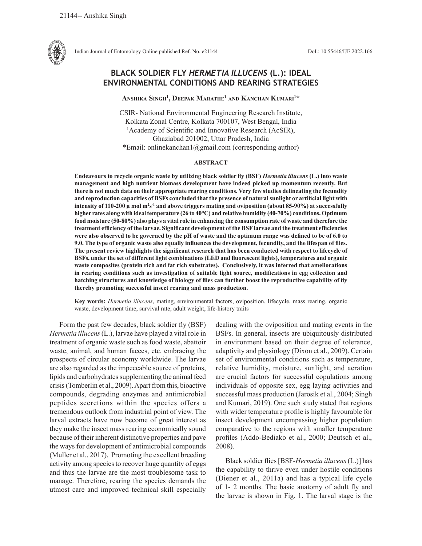

Indian Journal of Entomology Online published Ref. No. e21144 DoI.: 10.55446/IJE.2022.166

# **BLACK SOLDIER FLY** *HERMETIA ILLUCENS* **(L.): IDEAL ENVIRONMENTAL CONDITIONS AND REARING STRATEGIES**

**Anshika Singh1 , Deepak Marathe1 and Kanchan Kumari1 \***

CSIR- National Environmental Engineering Research Institute, Kolkata Zonal Centre, Kolkata 700107, West Bengal, India <sup>1</sup>Academy of Scientific and Innovative Research (AcSIR), Ghaziabad 201002, Uttar Pradesh, India \*Email: onlinekanchan1@gmail.com (corresponding author)

## **ABSTRACT**

**Endeavours to recycle organic waste by utilizing black soldier fly (BSF)** *Hermetia illucens* **(L.) into waste management and high nutrient biomass development have indeed picked up momentum recently. But there is not much data on their appropriate rearing conditions. Very few studies delineating the fecundity and reproduction capacities of BSFs concluded that the presence of natural sunlight or artificial light with intensity of 110-200 μ mol m2 s-1 and above triggers mating and oviposition (about 85-90%) at successfully higher rates along with ideal temperature (26 to 40°C) and relative humidity (40-70%) conditions. Optimum food moisture (50-80%) also plays a vital role in enhancing the consumption rate of waste and therefore the treatment efficiency of the larvae. Significant development of the BSF larvae and the treatment efficiencies were also observed to be governed by the pH of waste and the optimum range was defined to be of 6.0 to 9.0. The type of organic waste also equally influences the development, fecundity, and the lifespan of flies. The present review highlights the significant research that has been conducted with respect to lifecycle of BSFs, under the set of different light combinations (LED and fluorescent lights), temperatures and organic waste composites (protein rich and fat rich substrates). Conclusively, it was inferred that ameliorations in rearing conditions such as investigation of suitable light source, modifications in egg collection and hatching structures and knowledge of biology of flies can further boost the reproductive capability of fly thereby promoting successful insect rearing and mass production.** 

**Key words:** *Hermetia illucens*, mating, environmental factors, oviposition, lifecycle, mass rearing, organic waste, development time, survival rate, adult weight, life-history traits

Form the past few decades, black soldier fly (BSF) *Hermetia illucens* (L.), larvae have played a vital role in treatment of organic waste such as food waste, abattoir waste, animal, and human faeces, etc. embracing the prospects of circular economy worldwide. The larvae are also regarded as the impeccable source of proteins, lipids and carbohydrates supplementing the animal feed crisis (Tomberlin et al., 2009). Apart from this, bioactive compounds, degrading enzymes and antimicrobial peptides secretions within the species offers a tremendous outlook from industrial point of view. The larval extracts have now become of great interest as they make the insect mass rearing economically sound because of their inherent distinctive properties and pave the ways for development of antimicrobial compounds (Muller et al., 2017). Promoting the excellent breeding activity among species to recover huge quantity of eggs and thus the larvae are the most troublesome task to manage. Therefore, rearing the species demands the utmost care and improved technical skill especially

dealing with the oviposition and mating events in the BSFs. In general, insects are ubiquitously distributed in environment based on their degree of tolerance, adaptivity and physiology (Dixon et al., 2009). Certain set of environmental conditions such as temperature, relative humidity, moisture, sunlight, and aeration are crucial factors for successful copulations among individuals of opposite sex, egg laying activities and successful mass production (Jarosik et al., 2004; Singh and Kumari, 2019). One such study stated that regions with wider temperature profile is highly favourable for insect development encompassing higher population comparative to the regions with smaller temperature profiles (Addo-Bediako et al., 2000; Deutsch et al., 2008).

Black soldier flies [BSF-*Hermetia illucens* (L.)] has the capability to thrive even under hostile conditions (Diener et al., 2011a) and has a typical life cycle of 1- 2 months. The basic anatomy of adult fly and the larvae is shown in Fig. 1. The larval stage is the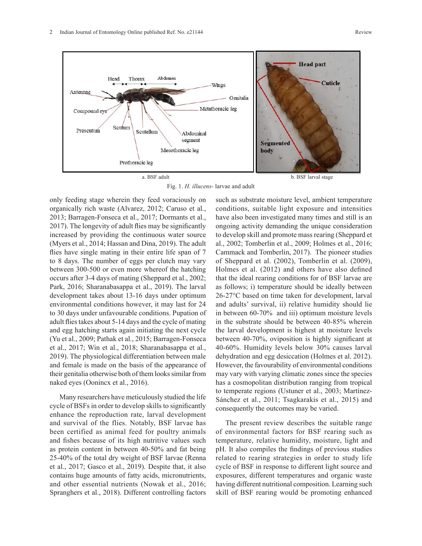

Fig. 1. *H. illucens*- larvae and adult

only feeding stage wherein they feed voraciously on organically rich waste (Alvarez, 2012; Caruso et al., 2013; Barragen-Fonseca et al., 2017; Dormants et al., 2017). The longevity of adult flies may be significantly increased by providing the continuous water source (Myers et al., 2014; Hassan and Dina, 2019). The adult flies have single mating in their entire life span of 7 to 8 days. The number of eggs per clutch may vary between 300-500 or even more whereof the hatching occurs after 3-4 days of mating (Sheppard et al., 2002; Park, 2016; Sharanabasappa et al., 2019). The larval development takes about 13-16 days under optimum environmental conditions however, it may last for 24 to 30 days under unfavourable conditions. Pupation of adult flies takes about 5-14 days and the cycle of mating and egg hatching starts again initiating the next cycle (Yu et al., 2009; Pathak et al., 2015; Barragen-Fonseca et al., 2017; Win et al., 2018; Sharanabasappa et al., 2019). The physiological differentiation between male and female is made on the basis of the appearance of their genitalia otherwise both of them looks similar from naked eyes (Oonincx et al., 2016).

Many researchers have meticulously studied the life cycle of BSFs in order to develop skills to significantly enhance the reproduction rate, larval development and survival of the flies. Notably, BSF larvae has been certified as animal feed for poultry animals and fishes because of its high nutritive values such as protein content in between 40-50% and fat being 25-40% of the total dry weight of BSF larvae (Renna et al., 2017; Gasco et al., 2019). Despite that, it also contains huge amounts of fatty acids, micronutrients, and other essential nutrients (Nowak et al., 2016; Spranghers et al., 2018). Different controlling factors

such as substrate moisture level, ambient temperature conditions, suitable light exposure and intensities have also been investigated many times and still is an ongoing activity demanding the unique consideration to develop skill and promote mass rearing (Sheppard et al., 2002; Tomberlin et al., 2009; Holmes et al., 2016; Cammack and Tomberlin, 2017). The pioneer studies of Sheppard et al. (2002), Tomberlin et al. (2009), Holmes et al. (2012) and others have also defined that the ideal rearing conditions for of BSF larvae are as follows; i) temperature should be ideally between 26-27°C based on time taken for development, larval and adults' survival, ii) relative humidity should lie in between 60-70% and iii) optimum moisture levels in the substrate should be between 40-85% wherein the larval development is highest at moisture levels between 40-70%, oviposition is highly significant at 40-60%. Humidity levels below 30% causes larval dehydration and egg desiccation (Holmes et al. 2012). However, the favourability of environmental conditions may vary with varying climatic zones since the species has a cosmopolitan distribution ranging from tropical to temperate regions (Ustuner et al., 2003; Martínez-Sánchez et al., 2011; Tsagkarakis et al., 2015) and consequently the outcomes may be varied.

The present review describes the suitable range of environmental factors for BSF rearing such as temperature, relative humidity, moisture, light and pH. It also compiles the findings of previous studies related to rearing strategies in order to study life cycle of BSF in response to different light source and exposures, different temperatures and organic waste having different nutritional composition. Learning such skill of BSF rearing would be promoting enhanced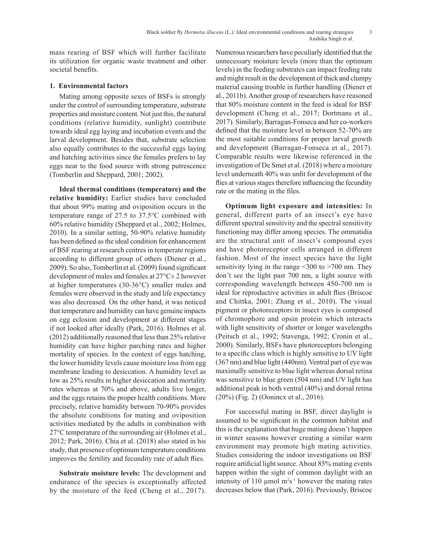mass rearing of BSF which will further facilitate its utilization for organic waste treatment and other societal benefits.

## **1. Environmental factors**

Mating among opposite sexes of BSFs is strongly under the control of surrounding temperature, substrate properties and moisture content. Not just this, the natural conditions (relative humidity, sunlight) contribute towards ideal egg laying and incubation events and the larval development. Besides that, substrate selection also equally contributes to the successful eggs laying and hatching activities since the females prefers to lay eggs near to the food source with strong putrescence (Tomberlin and Sheppard, 2001; 2002).

**Ideal thermal conditions (temperature) and the relative humidity:** Earlier studies have concluded that about 99% mating and oviposition occurs in the temperature range of 27.5 to 37.5°C combined with 60% relative humidity (Sheppard et al., 2002; Holmes, 2010). In a similar setting, 50-90% relative humidity has been defined as the ideal condition for enhancement of BSF rearing at research centres in temperate regions according to different group of others (Diener et al., 2009). So also, Tomberlin et al. (2009) found significant development of males and females at 27°C± 2 however at higher temperatures (30-36°C) smaller males and females were observed in the study and life expectancy was also decreased. On the other hand, it was noticed that temperature and humidity can have genuine impacts on egg eclosion and development at different stages if not looked after ideally (Park, 2016). Holmes et al. (2012) additionally reasoned that less than 25% relative humidity can have higher parching rates and higher mortality of species. In the context of eggs hatching, the lower humidity levels cause moisture loss from egg membrane leading to desiccation. A humidity level as low as 25% results in higher desiccation and mortality rates whereas at 70% and above, adults live longer, and the eggs retains the proper health conditions. More precisely, relative humidity between 70-90% provides the absolute conditions for mating and oviposition activities mediated by the adults in combination with 27°C temperature of the surrounding air (Holmes et al., 2012; Park, 2016). Chia et al. (2018) also stated in his study, that presence of optimum temperature conditions improves the fertility and fecundity rate of adult flies.

**Substrate moisture levels:** The development and endurance of the species is exceptionally affected by the moisture of the feed (Cheng et al., 2017).

Numerous researchers have peculiarly identified that the unnecessary moisture levels (more than the optimum levels) in the feeding substrates can impact feeding rate and might result in the development of thick and clumpy material causing trouble in further handling (Diener et al., 2011b). Another group of researchers have reasoned that 80% moisture content in the feed is ideal for BSF development (Cheng et al., 2017; Dortmans et al., 2017). Similarly, Barragan-Fonseca and her co-workers defined that the moisture level in between 52-70% are the most suitable conditions for proper larval growth and development (Barragan-Fonseca et al., 2017). Comparable results were likewise referenced in the investigation of De Smet et al. (2018) where a moisture level underneath 40% was unfit for development of the flies at various stages therefore influencing the fecundity rate or the mating in the files.

**Optimum light exposure and intensities:** In general, different parts of an insect's eye have different spectral sensitivity and the spectral sensitivity functioning may differ among species. The ommatidia are the structural unit of insect's compound eyes and have photoreceptor cells arranged in different fashion. Most of the insect species have the light sensitivity lying in the range <300 to >700 nm. They don't see the light past 700 nm, a light source with corresponding wavelength between 450-700 nm is ideal for reproductive activities in adult flies (Briscoe and Chittka, 2001; Zhang et al., 2010). The visual pigment or photoreceptors in insect eyes is composed of chromophore and opsin protein which interacts with light sensitivity of shorter or longer wavelengths (Peitsch et al., 1992; Stavenga, 1992; Cronin et al., 2000). Similarly, BSFs have photoreceptors belonging to a specific class which is highly sensitive to UV light (367 nm) and blue light (440nm). Ventral part of eye was maximally sensitive to blue light whereas dorsal retina was sensitive to blue green (504 nm) and UV light has additional peak in both ventral (40%) and dorsal retina (20%) (Fig. 2) (Oonincx et al., 2016).

For successful mating in BSF, direct daylight is assumed to be significant in the common habitat and this is the explanation that huge mating doesn't happen in winter seasons however creating a similar warm environment may promote high mating activities. Studies considering the indoor investigations on BSF require artificial light source. About 85% mating events happen within the sight of common daylight with an intensity of 110  $\mu$ mol m<sup>2</sup>s<sup>-1</sup> however the mating rates decreases below that (Park, 2016). Previously, Briscoe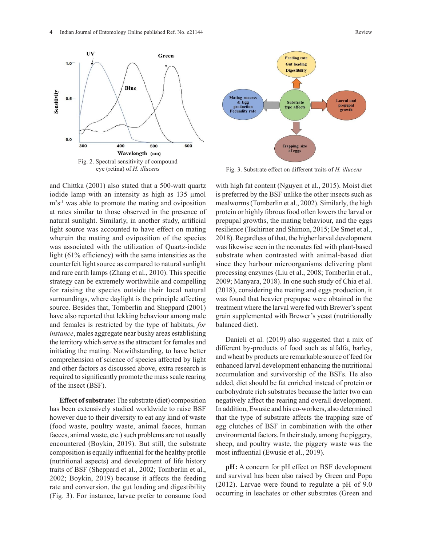

and Chittka (2001) also stated that a 500-watt quartz iodide lamp with an intensity as high as 135 µmol m<sup>2</sup>s<sup>-1</sup> was able to promote the mating and oviposition at rates similar to those observed in the presence of natural sunlight. Similarly, in another study, artificial light source was accounted to have effect on mating wherein the mating and oviposition of the species was associated with the utilization of Quartz-iodide light (61% efficiency) with the same intensities as the counterfeit light source as compared to natural sunlight and rare earth lamps (Zhang et al., 2010). This specific strategy can be extremely worthwhile and compelling for raising the species outside their local natural surroundings, where daylight is the principle affecting source. Besides that, Tomberlin and Sheppard (2001) have also reported that lekking behaviour among male and females is restricted by the type of habitats, *for instance*, males aggregate near bushy areas establishing the territory which serve as the attractant for females and initiating the mating. Notwithstanding, to have better comprehension of science of species affected by light and other factors as discussed above, extra research is required to significantly promote the mass scale rearing of the insect (BSF).

**Effect of substrate:** The substrate (diet) composition has been extensively studied worldwide to raise BSF however due to their diversity to eat any kind of waste (food waste, poultry waste, animal faeces, human faeces, animal waste, etc.) such problems are not usually encountered (Boykin, 2019). But still, the substrate composition is equally influential for the healthy profile (nutritional aspects) and development of life history traits of BSF (Sheppard et al., 2002; Tomberlin et al., 2002; Boykin, 2019) because it affects the feeding rate and conversion, the gut loading and digestibility (Fig. 3). For instance, larvae prefer to consume food



Fig. 3. Substrate effect on different traits of H. illucens

with high fat content (Nguyen et al., 2015). Moist diet is preferred by the BSF unlike the other insects such as mealworms (Tomberlin et al., 2002). Similarly, the high protein or highly fibrous food often lowers the larval or prepupal growths, the mating behaviour, and the eggs resilience (Tschirner and Shimon, 2015; De Smet et al., 2018). Regardless of that, the higher larval development was likewise seen in the neonates fed with plant-based substrate when contrasted with animal-based diet since they harbour microorganisms delivering plant processing enzymes (Liu et al., 2008; Tomberlin et al., 2009; Manyara, 2018). In one such study of Chia et al. (2018), considering the mating and eggs production, it was found that heavier prepupae were obtained in the treatment where the larval were fed with Brewer's spent grain supplemented with Brewer's yeast (nutritionally balanced diet).

Danieli et al. (2019) also suggested that a mix of different by-products of food such as alfalfa, barley, and wheat by products are remarkable source of feed for enhanced larval development enhancing the nutritional accumulation and survivorship of the BSFs. He also added, diet should be fat enriched instead of protein or carbohydrate rich substrates because the latter two can negatively affect the rearing and overall development. In addition, Ewusie and his co-workers, also determined that the type of substrate affects the trapping size of egg clutches of BSF in combination with the other environmental factors. In their study, among the piggery, sheep, and poultry waste, the piggery waste was the most influential (Ewusie et al., 2019).

**pH:** A concern for pH effect on BSF development and survival has been also raised by Green and Popa (2012). Larvae were found to regulate a pH of 9.0 occurring in leachates or other substrates (Green and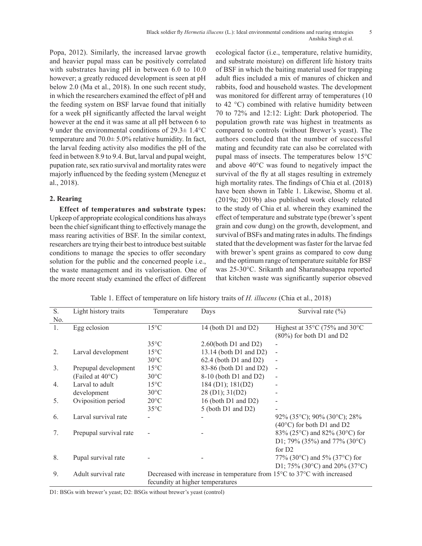Popa, 2012). Similarly, the increased larvae growth and heavier pupal mass can be positively correlated with substrates having pH in between 6.0 to 10.0 however; a greatly reduced development is seen at pH below 2.0 (Ma et al., 2018). In one such recent study, in which the researchers examined the effect of pH and the feeding system on BSF larvae found that initially for a week pH significantly affected the larval weight however at the end it was same at all pH between 6 to 9 under the environmental conditions of  $29.3 \pm 1.4$ °C temperature and  $70.0\pm 5.0\%$  relative humidity. In fact, the larval feeding activity also modifies the pH of the feed in between 8.9 to 9.4. But, larval and pupal weight, pupation rate, sex ratio survival and mortality rates were majorly influenced by the feeding system (Meneguz et al., 2018).

## **2. Rearing**

**Effect of temperatures and substrate types:**  Upkeep of appropriate ecological conditions has always been the chief significant thing to effectively manage the mass rearing activities of BSF. In the similar context, researchers are trying their best to introduce best suitable conditions to manage the species to offer secondary solution for the public and the concerned people i.e., the waste management and its valorisation. One of the more recent study examined the effect of different ecological factor (i.e., temperature, relative humidity, and substrate moisture) on different life history traits of BSF in which the baiting material used for trapping adult flies included a mix of manures of chicken and rabbits, food and household wastes. The development was monitored for different array of temperatures (10 to 42 °C) combined with relative humidity between 70 to 72% and 12:12: Light: Dark photoperiod. The population growth rate was highest in treatments as compared to controls (without Brewer's yeast). The authors concluded that the number of successful mating and fecundity rate can also be correlated with pupal mass of insects. The temperatures below 15°C and above 40°C was found to negatively impact the survival of the fly at all stages resulting in extremely high mortality rates. The findings of Chia et al. (2018) have been shown in Table 1. Likewise, Shomu et al. (2019a; 2019b) also published work closely related to the study of Chia et al. wherein they examined the effect of temperature and substrate type (brewer's spent grain and cow dung) on the growth, development, and survival of BSFs and mating rates in adults. The findings stated that the development was faster for the larvae fed with brewer's spent grains as compared to cow dung and the optimum range of temperature suitable for BSF was 25-30°C. Srikanth and Sharanabasappa reported that kitchen waste was significantly superior obseved

S. No. Light history traits Temperature Days Survival rate (%) 1. Egg eclosion 15°C 14 (both D1 and D2) Highest at 35°C (75% and 30°C (80%) for both D1 and D2  $35^{\circ}$ C 2.60(both D1 and D2) 2. Larval development 15°C 13.14 (both D1 and D2)  $30^{\circ}$ C 62.4 (both D1 and D2) 3. Prepupal development (Failed at 40°C)  $15^{\circ}$ C 83-86 (both D1 and D2)  $30^{\circ}$ C 8-10 (both D1 and D2) 4. Larval to adult development  $15^{\circ}$ C 184 (D1); 181(D2)  $30^{\circ}$ C 28 (D1); 31(D2) 5. Oviposition period  $20^{\circ}$ C 16 (both D1 and D2)  $35^{\circ}$ C 5 (both D1 and D2) 6. Larval survival rate  $\frac{1}{2\%}$  -  $\frac{92\%}{35\degree}$  (35°C); 90% (30°C); 28% (40°C) for both D1 and D2 7. Prepupal survival rate  $\qquad \qquad \qquad \qquad \qquad$  83% (25°C) and 82% (30°C) for D1; 79% (35%) and 77% (30°C) for D2 8. Pupal survival rate  $\frac{1}{2}$  -  $\frac{1}{2}$  -  $\frac{1}{2}$  77% (30°C) and 5% (37°C) for D1; 75% (30°C) and 20% (37°C) 9. Adult survival rate Decreased with increase in temperature from 15°C to 37°C with increased fecundity at higher temperatures

Table 1. Effect of temperature on life history traits of *H. illucens* (Chia et al., 2018)

D1: BSGs with brewer's yeast; D2: BSGs without brewer's yeast (control)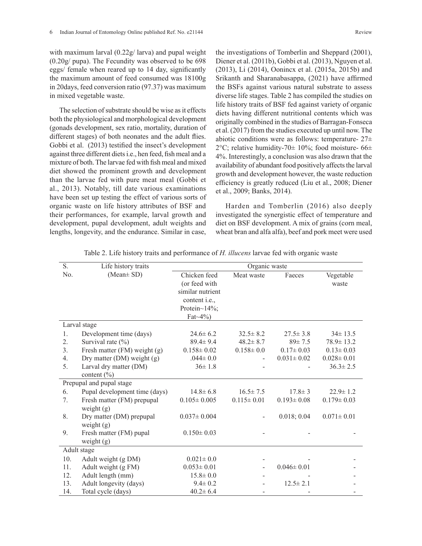with maximum larval (0.22g/ larva) and pupal weight (0.20g/ pupa). The Fecundity was observed to be 698 eggs/ female when reared up to 14 day, significantly the maximum amount of feed consumed was 18100g in 20days, feed conversion ratio (97.37) was maximum in mixed vegetable waste.

The selection of substrate should be wise as it effects both the physiological and morphological development (gonads development, sex ratio, mortality, duration of different stages) of both neonates and the adult flies. Gobbi et al. (2013) testified the insect's development against three different diets i.e., hen feed, fish meal and a mixture of both. The larvae fed with fish meal and mixed diet showed the prominent growth and development than the larvae fed with pure meat meal (Gobbi et al., 2013). Notably, till date various examinations have been set up testing the effect of various sorts of organic waste on life history attributes of BSF and their performances, for example, larval growth and development, pupal development, adult weights and lengths, longevity, and the endurance. Similar in case,

the investigations of Tomberlin and Sheppard (2001), Diener et al. (2011b), Gobbi et al. (2013), Nguyen et al. (2013), Li (2014), Oonincx et al. (2015a, 2015b) and Srikanth and Sharanabasappa, (2021) have affirmed the BSFs against various natural substrate to assess diverse life stages. Table 2 has compiled the studies on life history traits of BSF fed against variety of organic diets having different nutritional contents which was originally combined in the studies of Barragan-Fonseca et al. (2017) from the studies executed up until now. The abiotic conditions were as follows: temperature- 27± 2°C; relative humidity-70 $\pm$  10%; food moisture- 66 $\pm$ 4%. Interestingly, a conclusion was also drawn that the availability of abundant food positively affects the larval growth and development however, the waste reduction efficiency is greatly reduced (Liu et al., 2008; Diener et al., 2009; Banks, 2014).

Harden and Tomberlin (2016) also deeply investigated the synergistic effect of temperature and diet on BSF development. A mix of grains (corn meal, wheat bran and alfa alfa), beef and pork meet were used

| S.                       | Life history traits            | Organic waste     |                  |                  |                  |
|--------------------------|--------------------------------|-------------------|------------------|------------------|------------------|
| No.                      | $(Mean \pm SD)$                | Chicken feed      | Meat waste       | Faeces           | Vegetable        |
|                          |                                | (or feed with     |                  |                  | waste            |
|                          |                                | similar nutrient  |                  |                  |                  |
|                          |                                | content i.e.,     |                  |                  |                  |
|                          |                                | Protein~14%;      |                  |                  |                  |
|                          |                                | $Fat~4\%$         |                  |                  |                  |
| Larval stage             |                                |                   |                  |                  |                  |
| 1.                       | Development time (days)        | $24.6 \pm 6.2$    | $32.5 \pm 8.2$   | $27.5 \pm 3.8$   | $34 \pm 13.5$    |
| 2.                       | Survival rate $(\% )$          | $89.4 \pm 9.4$    | $48.2 \pm 8.7$   | $89 \pm 7.5$     | $78.9 \pm 13.2$  |
| 3 <sub>1</sub>           | Fresh matter (FM) weight (g)   | $0.158 \pm 0.02$  | $0.158 \pm 0.0$  | $0.17 \pm 0.03$  | $0.13 \pm 0.03$  |
| 4.                       | Dry matter $(DM)$ weight $(g)$ | $.044 \pm 0.0$    |                  | $0.031 \pm 0.02$ | $0.028 \pm 0.01$ |
| 5.                       | Larval dry matter (DM)         | $36 \pm 1.8$      |                  |                  | $36.3 \pm 2.5$   |
|                          | content $(\% )$                |                   |                  |                  |                  |
| Prepupal and pupal stage |                                |                   |                  |                  |                  |
| 6.                       | Pupal development time (days)  | $14.8 \pm 6.8$    | $16.5 \pm 7.5$   | $17.8 \pm 3$     | $22.9 \pm 1.2$   |
| 7.                       | Fresh matter (FM) prepupal     | $0.105 \pm 0.005$ | $0.115 \pm 0.01$ | $0.193 \pm 0.08$ | $0.179 \pm 0.03$ |
|                          | weight $(g)$                   |                   |                  |                  |                  |
| 8.                       | Dry matter (DM) prepupal       | $0.037 \pm 0.004$ |                  | 0.018; 0.04      | $0.071 \pm 0.01$ |
|                          | weight $(g)$                   |                   |                  |                  |                  |
| 9.                       | Fresh matter (FM) pupal        | $0.150 \pm 0.03$  |                  |                  |                  |
|                          | weight $(g)$                   |                   |                  |                  |                  |
| Adult stage              |                                |                   |                  |                  |                  |
| 10.                      | Adult weight (g DM)            | $0.021 \pm 0.0$   |                  |                  |                  |
| 11.                      | Adult weight (g FM)            | $0.053 \pm 0.01$  |                  | $0.046 \pm 0.01$ |                  |
| 12.                      | Adult length (mm)              | $15.8 \pm 0.0$    |                  |                  |                  |
| 13.                      | Adult longevity (days)         | $9.4 \pm 0.2$     |                  | $12.5 \pm 2.1$   |                  |
| 14.                      | Total cycle (days)             | $40.2 \pm 6.4$    |                  |                  |                  |

Table 2. Life history traits and performance of *H. illucens* larvae fed with organic waste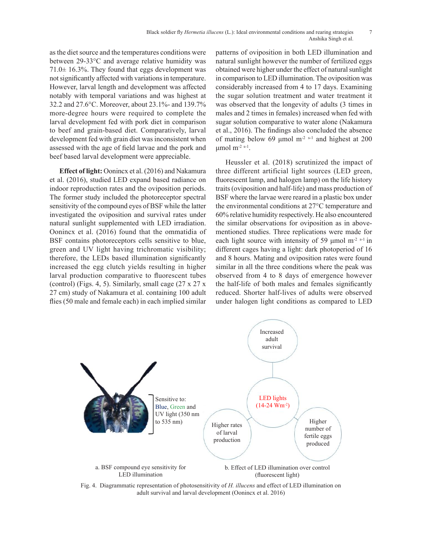as the diet source and the temperatures conditions were between 29-33°C and average relative humidity was  $71.0\pm 16.3\%$ . They found that eggs development was not significantly affected with variations in temperature. However, larval length and development was affected notably with temporal variations and was highest at 32.2 and 27.6°C. Moreover, about 23.1%- and 139.7% more-degree hours were required to complete the larval development fed with pork diet in comparison to beef and grain-based diet. Comparatively, larval development fed with grain diet was inconsistent when assessed with the age of field larvae and the pork and beef based larval development were appreciable.

**Effect of light:** Oonincx et al. (2016) and Nakamura et al. (2016), studied LED expand based radiance on indoor reproduction rates and the oviposition periods. The former study included the photoreceptor spectral sensitivity of the compound eyes of BSF while the latter investigated the oviposition and survival rates under natural sunlight supplemented with LED irradiation. Oonincx et al. (2016) found that the ommatidia of BSF contains photoreceptors cells sensitive to blue, green and UV light having trichromatic visibility; therefore, the LEDs based illumination significantly increased the egg clutch yields resulting in higher larval production comparative to fluorescent tubes (control) (Figs. 4, 5). Similarly, small cage (27 x 27 x 27 cm) study of Nakamura et al. containing 100 adult flies (50 male and female each) in each implied similar patterns of oviposition in both LED illumination and natural sunlight however the number of fertilized eggs obtained were higher under the effect of natural sunlight in comparison to LED illumination. The oviposition was considerably increased from 4 to 17 days. Examining the sugar solution treatment and water treatment it was observed that the longevity of adults (3 times in males and 2 times in females) increased when fed with sugar solution comparative to water alone (Nakamura et al., 2016). The findings also concluded the absence of mating below 69  $\mu$ mol m<sup>-2 s-1</sup> and highest at 200 μmol m<sup>-2 s-1</sup>.

Heussler et al. (2018) scrutinized the impact of three different artificial light sources (LED green, fluorescent lamp, and halogen lamp) on the life history traits (oviposition and half-life) and mass production of BSF where the larvae were reared in a plastic box under the environmental conditions at 27°C temperature and 60% relative humidity respectively. He also encountered the similar observations for oviposition as in abovementioned studies. Three replications were made for each light source with intensity of 59  $\mu$ mol m<sup>-2 s-1</sup> in different cages having a light: dark photoperiod of 16 and 8 hours. Mating and oviposition rates were found similar in all the three conditions where the peak was observed from 4 to 8 days of emergence however the half-life of both males and females significantly reduced. Shorter half-lives of adults were observed under halogen light conditions as compared to LED



Fig. 4. Diagrammatic representation of photosensitivity of *H. illucens* and effect of LED illumination on adult survival and larval development (Oonincx et al. 2016)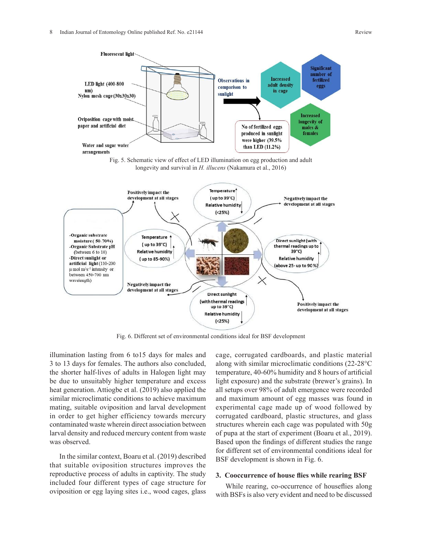





Fig. 6: Different set of environmental conditions ideal for BSF development Fig. 6. Different set of environmental conditions ideal for BSF development

illumination lasting from 6 to15 days for males and 3 to 13 days for females. The authors also concluded, the shorter half-lives of adults in Halogen light may be due to unsuitably higher temperature and excess heat generation. Attiogbe et al. (2019) also applied the similar microclimatic conditions to achieve maximum mating, suitable oviposition and larval development in order to get higher efficiency towards mercury contaminated waste wherein direct association between larval density and reduced mercury content from waste was observed.

In the similar context, Boaru et al. (2019) described that suitable oviposition structures improves the reproductive process of adults in captivity. The study included four different types of cage structure for oviposition or egg laying sites i.e., wood cages, glass

cage, corrugated cardboards, and plastic material along with similar microclimatic conditions (22-28°C temperature, 40-60% humidity and 8 hours of artificial light exposure) and the substrate (brewer's grains). In all setups over 98% of adult emergence were recorded and maximum amount of egg masses was found in experimental cage made up of wood followed by corrugated cardboard, plastic structures, and glass structures wherein each cage was populated with 50g of pupa at the start of experiment (Boaru et al., 2019). Based upon the findings of different studies the range for different set of environmental conditions ideal for BSF development is shown in Fig. 6.

### **3. Cooccurrence of house flies while rearing BSF**

While rearing, co-occurrence of houseflies along with BSFs is also very evident and need to be discussed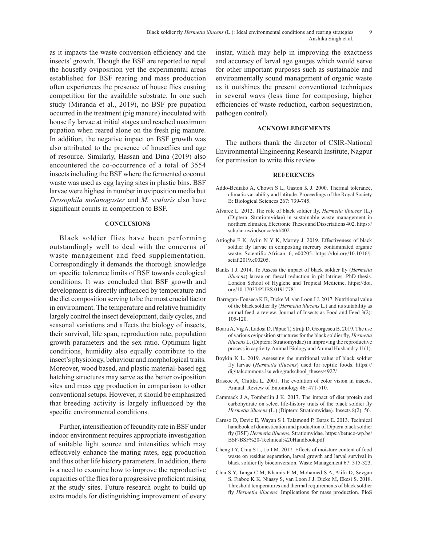as it impacts the waste conversion efficiency and the insects' growth. Though the BSF are reported to repel the housefly oviposition yet the experimental areas established for BSF rearing and mass production often experiences the presence of house flies ensuing competition for the available substrate. In one such study (Miranda et al., 2019), no BSF pre pupation occurred in the treatment (pig manure) inoculated with house fly larvae at initial stages and reached maximum pupation when reared alone on the fresh pig manure. In addition, the negative impact on BSF growth was also attributed to the presence of houseflies and age of resource. Similarly, Hassan and Dina (2019) also encountered the co-occurrence of a total of 3554 insects including the BSF where the fermented coconut waste was used as egg laying sites in plastic bins. BSF larvae were highest in number in oviposition media but *Drosophila melanogaster* and *M. scalaris* also have significant counts in competition to BSF.

## **CONCLUSIONS**

Black soldier flies have been performing outstandingly well to deal with the concerns of waste management and feed supplementation. Correspondingly it demands the thorough knowledge on specific tolerance limits of BSF towards ecological conditions. It was concluded that BSF growth and development is directly influenced by temperature and the diet composition serving to be the most crucial factor in environment. The temperature and relative humidity largely control the insect development, daily cycles, and seasonal variations and affects the biology of insects, their survival, life span, reproduction rate, population growth parameters and the sex ratio. Optimum light conditions, humidity also equally contribute to the insect's physiology, behaviour and morphological traits. Moreover, wood based, and plastic material-based egg hatching structures may serve as the better oviposition sites and mass egg production in comparison to other conventional setups. However, it should be emphasized that breeding activity is largely influenced by the specific environmental conditions.

Further, intensification of fecundity rate in BSF under indoor environment requires appropriate investigation of suitable light source and intensities which may effectively enhance the mating rates, egg production and thus other life history parameters. In addition, there is a need to examine how to improve the reproductive capacities of the flies for a progressive proficient raising at the study sites. Future research ought to build up extra models for distinguishing improvement of every instar, which may help in improving the exactness and accuracy of larval age gauges which would serve for other important purposes such as sustainable and environmentally sound management of organic waste as it outshines the present conventional techniques in several ways (less time for composing, higher efficiencies of waste reduction, carbon sequestration, pathogen control).

## **ACKNOWLEDGEMENTS**

The authors thank the director of CSIR-National Environmental Engineering Research Institute, Nagpur for permission to write this review.

### **REFERENCES**

- Addo-Bediako A, Chown S L, Gaston K J. 2000. Thermal tolerance, climatic variability and latitude. Proceedings of the Royal Society B: Biological Sciences 267: 739-745.
- Alvarez L. 2012. The role of black soldier fly, *Hermetia illucens* (L.) (Diptera: Stratiomyidae) in sustainable waste management in northern climates, Electronic Theses and Dissertations 402. https:// scholar.uwindsor.ca/etd/402 .
- Attiogbe F K, Ayim N Y K, Martey J. 2019. Effectiveness of black soldier fly larvae in composting mercury contaminated organic waste. Scientific African. 6, e00205. https://doi.org/10.1016/j. sciaf.2019.e00205.
- Banks I J. 2014. To Assess the impact of black soldier fly (*Hermetia illucens*) larvae on faecal reduction in pit latrines. PhD thesis. London School of Hygiene and Tropical Medicine. https://doi. org/10.17037/PUBS.01917781.
- Barragan- Fonseca K B, Dicke M, van Loon J J. 2017. Nutritional value of the black soldier fly (*Hermetia illucens* L.) and its suitability as animal feed–a review. Journal of Insects as Food and Feed 3(2): 105-120.
- Boaru A, Vig A, Ladoşi D, Păpuc T, Struţi D, Georgescu B. 2019. The use of various oviposition structures for the black soldier fly, *Hermetia illucens* L. (Diptera: Stratiomyidae) in improving the reproductive process in captivity. Animal Biology and Animal Husbandry 11(1).
- Boykin K L. 2019. Assessing the nutritional value of black soldier fly larvae (*Hermetia illucens*) used for reptile foods. https:// digitalcommons.lsu.edu/gradschool\_theses/4927/
- Briscoe A, Chittka L. 2001. The evolution of color vision in insects. Annual. Review of Entomology 46: 471-510.
- Cammack J A, Tomberlin J K. 2017. The impact of diet protein and carbohydrate on select life-history traits of the black soldier fly *Hermetia illucens* (L.) (Diptera: Stratiomyidae). Insects 8(2): 56.
- Caruso D, Devic E, Wayan S I, Talamond P, Baras E. 2013. Technical handbook of domestication and production of Diptera black soldier fly (BSF) *Hermetia illucens*, Stratiomyidae. https://betuco-wp.be/ BSF/BSF%20-Technical%20Handbook.pdf
- Cheng J Y, Chiu S L, Lo I M. 2017. Effects of moisture content of food waste on residue separation, larval growth and larval survival in black soldier fly bioconversion. Waste Management 67: 315-323.
- Chia S Y, Tanga C M, Khamis F M, Mohamed S A, Alifu D, Sevgan S, Fiaboe K K, Niassy S, van Loon J J, Dicke M, Ekesi S. 2018. Threshold temperatures and thermal requirements of black soldier fly *Hermetia illucens*: Implications for mass production. PloS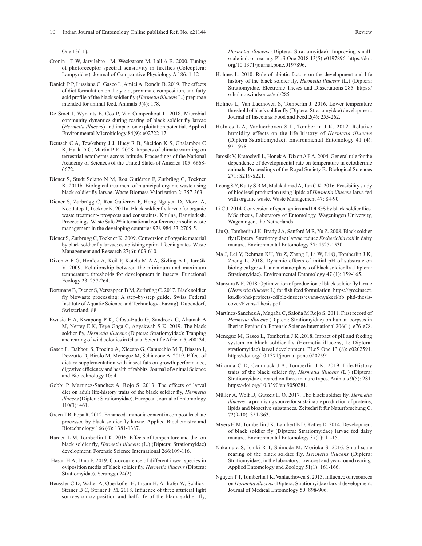One 13(11).

- Cronin T W, Jarvilehto M, Weckstrom M, Lall A B. 2000. Tuning of photoreceptor spectral sensitivity in fireflies (Coleoptera: Lampyridae). Journal of Comparative Physiology A 186: 1-12
- Danieli P P, Lussiana C, Gasco L, Amici A, Ronchi B. 2019. The effects of diet formulation on the yield, proximate composition, and fatty acid profile of the black soldier fly (*Hermetia illucens* L.) prepupae intended for animal feed. Animals 9(4): 178.
- De Smet J, Wynants E, Cos P, Van Campenhout L. 2018. Microbial community dynamics during rearing of black soldier fly larvae (*Hermetia illucens*) and impact on exploitation potential. Applied Environmental Microbiology 84(9): e02722-17.
- Deutsch C A, Tewksbury J J, Huey R B, Sheldon K S, Ghalambor C K, Haak D C, Martin P R. 2008. Impacts of climate warming on terrestrial ectotherms across latitude. Proceedings of the National Academy of Sciences of the United States of America 105: 6668- 6672.
- Diener S, Studt Solano N M, Roa Gutiérrez F, Zurbrügg C, Tockner K. 2011b. Biological treatment of municipal organic waste using black soldier fly larvae. Waste Biomass Valorization 2: 357-363.
- Diener S, Zurbrügg C, Roa Gutiérrez F, Hong Nguyen D, Morel A, Koottatep T, Tockner K. 2011a. Black soldier fly larvae for organic waste treatment- prospects and constraints. Khulna, Bangladesh. Proceedings. Waste Safe 2nd international conference on solid waste management in the developing countries 978-984-33-2705-5.
- Diener S, Zurbrugg C, Tockner K. 2009. Conversion of organic material by black soldier fly larvae: establishing optimal feeding rates. Waste Management and Research 27(6): 603-610.
- Dixon A F G, Honˇek A, Keil P, Kotela M A A, Šizling A L, Jarošík V. 2009. Relationship between the minimum and maximum temperature thresholds for development in insects. Functional Ecology 23: 257-264.
- Dortmans B, Diener S, Verstappen B M, Zurbrügg C. 2017. Black soldier fly biowaste processing: A step-by-step guide. Swiss Federal Institute of Aquatic Science and Technology (Eawag), Dübendorf, Switzerland, 88.
- Ewusie E A, Kwapong P K, Ofosu-Budu G, Sandrock C, Akumah A M, Nertey E K, Teye-Gaga C, Agyakwah S K. 2019. The black soldier fly, *Hermetia illucens* (Diptera: Stratiomyidae): Trapping and rearing of wild colonies in Ghana. Scientific African 5, e00134.
- Gasco L, Dabbou S, Trocino A, Xiccato G, Capucchio M T, Biasato I, Dezzutto D, Birolo M, Meneguz M, Schiavone A. 2019. Effect of dietary supplementation with insect fats on growth performance, digestive efficiency and health of rabbits. Journal of Animal Science and Biotechnology 10: 4.
- Gobbi P, Martinez-Sanchez A, Rojo S. 2013. The effects of larval diet on adult life-history traits of the black soldier fly, *Hermetia illucens* (Diptera: Stratiomyidae). European Journal of Entomology 110(3): 461.
- Green T R, Popa R. 2012. Enhanced ammonia content in compost leachate processed by black soldier fly larvae. Applied Biochemistry and Biotechnology 166 (6): 1381-1387.
- Harden L M, Tomberlin J K. 2016. Effects of temperature and diet on black soldier fly, *Hermetia illucens* (L.) (Diptera: Stratiomyidae) development. Forensic Science International 266:109-116.
- Hasan H A, Dina F. 2019. Co-occurrence of different insect species in oviposition media of black soldier fly, *Hermetia illucens* (Diptera: Stratiomyidae). Serangga 24(2).
- Heussler C D, Walter A, Oberkofler H, Insam H, Arthofer W, Schlick-Steiner B C, Steiner F M. 2018. Influence of three artificial light sources on oviposition and half-life of the black soldier fly,

*Hermetia illucens* (Diptera: Stratiomyidae): Improving smallscale indoor rearing. PloS One 2018 13(5) e0197896. https://doi. org/10.1371/journal.pone.0197896.

- Holmes L. 2010. Role of abiotic factors on the development and life history of the black soldier fly, *Hermetia illucens* (L.) (Diptera: Stratiomyidae. Electronic Theses and Dissertations 285. https:// scholar.uwindsor.ca/etd/285
- Holmes L, Van Laerhoven S, Tomberlin J. 2016. Lower temperature threshold of black soldier fly (Diptera: Stratiomyidae) development. Journal of Insects as Food and Feed 2(4): 255-262.
- Holmes L A, Vanlaerhoven S L, Tomberlin J K. 2012. Relative humidity effects on the life history of *Hermetia illucens* (Diptera:Sstratiomyidae). Environmental Entomology 41 (4): 971-978.
- Jarosík V, Kratochvíl L, Honék A, Dixon A F A. 2004. General rule for the dependence of developmental rate on temperature in ectothermic animals. Proceedings of the Royal Society B: Biological Sciences 271: S219-S221.
- Leong S Y, Kutty S R M, Malakahmad A, Tan C K. 2016. Feasibility study of biodiesel production using lipids of *Hermetia illucens* larva fed with organic waste. Waste Management 47: 84-90.
- Li C J. 2014. Conversion of spent grains and DDGS by black soldier flies. MSc thesis, Laboratory of Entomology, Wageningen University, Wageningen, the Netherlands.
- Liu Q, Tomberlin J K, Brady J A, Sanford M R, Yu Z. 2008. Black soldier fly (Diptera: Stratiomyidae) larvae reduce *Escherichia coli* in dairy manure. Environmental Entomology 37: 1525-1530.
- Ma J, Lei Y, Rehman KU, Yu Z, Zhang J, Li W, Li Q, Tomberlin J K, Zheng L. 2018. Dynamic effects of initial pH of substrate on biological growth and metamorphosis of black soldier fly (Diptera: Stratiomyidae). Environmental Entomology 47 (1): 159-165.
- Manyara N E. 2018. Optimization of production of black soldier fly larvae (*Hermetia illucens* L) for fish feed formulation. https://greeinsect. ku.dk/phd-projects-edible-insects/evans-nyakeri/hb\_phd-thesiscover/Evans-Thesis.pdf.
- Martínez-Sánchez A, Magaña C, Saloña M Rojo S. 2011. First record of *Hermetia illucens* (Diptera: Stratiomyidae) on human corpses in Iberian Peninsula. Forensic Science International 206(1): e76-e78.
- Meneguz M, Gasco L, Tomberlin J K .2018. Impact of pH and feeding system on black soldier fly (Hermetia illucens, L; Diptera: stratiomyidae) larval development. PLoS One 13 (8): e0202591. https://doi.org/10.1371/journal.pone.0202591.
- Miranda C D, Cammack J A, Tomberlin J K. 2019. Life-History traits of the black soldier fly, *Hermetia illucens* (L.) (Diptera: Stratiomyidae), reared on three manure types. Animals 9(5): 281. https://doi.org/10.3390/ani9050281.
- Müller A, Wolf D, Gutzeit H O. 2017. The black soldier fly, *Hermetia illucens*– a promising source for sustainable production of proteins, lipids and bioactive substances. Zeitschrift für Naturforschung C. 72(9-10): 351-363.
- Myers H M, Tomberlin J K, Lambert B D, Kattes D. 2014. Development of black soldier fly (Diptera: Stratiomyidae) larvae fed dairy manure. Environmental Entomology 37(1): 11-15.
- Nakamura S, Ichiki R T, Shimoda M, Morioka S. 2016. Small-scale rearing of the black soldier fly, *Hermetia illucens* (Diptera: Stratiomyidae), in the laboratory: low-cost and year-round rearing. Applied Entomology and Zoology 51(1): 161-166.
- Nguyen T T, Tomberlin J K, Vanlaerhoven S. 2013. Influence of resources on *Hermetia illucens* (Diptera: Stratiomyidae) larval development. Journal of Medical Entomology 50: 898-906.